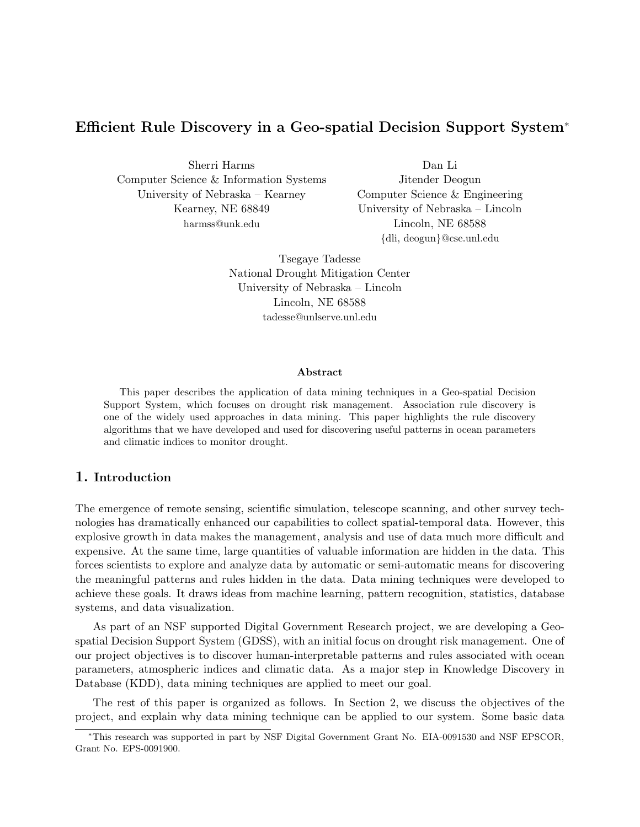# Efficient Rule Discovery in a Geo-spatial Decision Support System<sup>∗</sup>

Sherri Harms Computer Science & Information Systems University of Nebraska – Kearney Kearney, NE 68849 harmss@unk.edu

Dan Li Jitender Deogun Computer Science & Engineering University of Nebraska – Lincoln Lincoln, NE 68588 {dli, deogun}@cse.unl.edu

Tsegaye Tadesse National Drought Mitigation Center University of Nebraska – Lincoln Lincoln, NE 68588 tadesse@unlserve.unl.edu

#### Abstract

This paper describes the application of data mining techniques in a Geo-spatial Decision Support System, which focuses on drought risk management. Association rule discovery is one of the widely used approaches in data mining. This paper highlights the rule discovery algorithms that we have developed and used for discovering useful patterns in ocean parameters and climatic indices to monitor drought.

## 1. Introduction

The emergence of remote sensing, scientific simulation, telescope scanning, and other survey technologies has dramatically enhanced our capabilities to collect spatial-temporal data. However, this explosive growth in data makes the management, analysis and use of data much more difficult and expensive. At the same time, large quantities of valuable information are hidden in the data. This forces scientists to explore and analyze data by automatic or semi-automatic means for discovering the meaningful patterns and rules hidden in the data. Data mining techniques were developed to achieve these goals. It draws ideas from machine learning, pattern recognition, statistics, database systems, and data visualization.

As part of an NSF supported Digital Government Research project, we are developing a Geospatial Decision Support System (GDSS), with an initial focus on drought risk management. One of our project objectives is to discover human-interpretable patterns and rules associated with ocean parameters, atmospheric indices and climatic data. As a major step in Knowledge Discovery in Database (KDD), data mining techniques are applied to meet our goal.

The rest of this paper is organized as follows. In Section 2, we discuss the objectives of the project, and explain why data mining technique can be applied to our system. Some basic data

<sup>∗</sup>This research was supported in part by NSF Digital Government Grant No. EIA-0091530 and NSF EPSCOR, Grant No. EPS-0091900.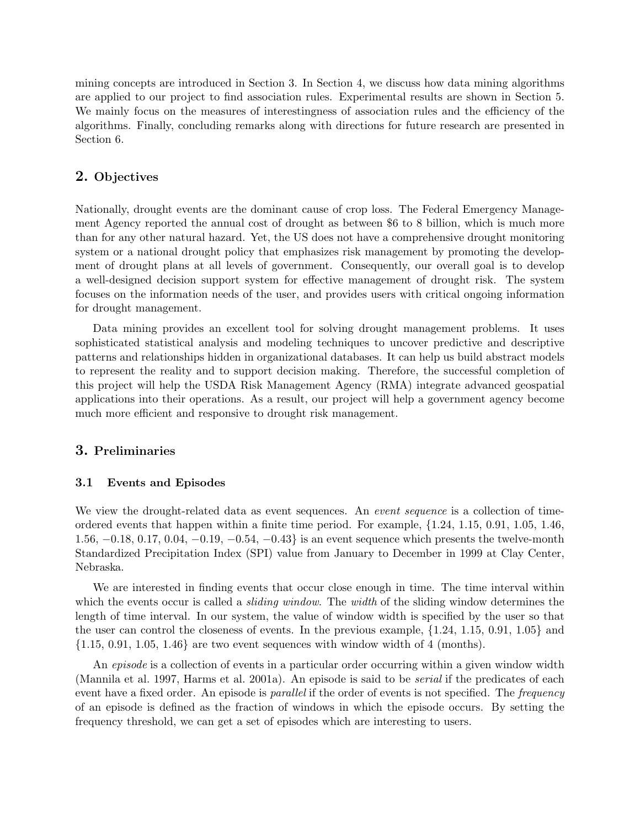mining concepts are introduced in Section 3. In Section 4, we discuss how data mining algorithms are applied to our project to find association rules. Experimental results are shown in Section 5. We mainly focus on the measures of interestingness of association rules and the efficiency of the algorithms. Finally, concluding remarks along with directions for future research are presented in Section 6.

### 2. Objectives

Nationally, drought events are the dominant cause of crop loss. The Federal Emergency Management Agency reported the annual cost of drought as between \$6 to 8 billion, which is much more than for any other natural hazard. Yet, the US does not have a comprehensive drought monitoring system or a national drought policy that emphasizes risk management by promoting the development of drought plans at all levels of government. Consequently, our overall goal is to develop a well-designed decision support system for effective management of drought risk. The system focuses on the information needs of the user, and provides users with critical ongoing information for drought management.

Data mining provides an excellent tool for solving drought management problems. It uses sophisticated statistical analysis and modeling techniques to uncover predictive and descriptive patterns and relationships hidden in organizational databases. It can help us build abstract models to represent the reality and to support decision making. Therefore, the successful completion of this project will help the USDA Risk Management Agency (RMA) integrate advanced geospatial applications into their operations. As a result, our project will help a government agency become much more efficient and responsive to drought risk management.

## 3. Preliminaries

### 3.1 Events and Episodes

We view the drought-related data as event sequences. An *event sequence* is a collection of timeordered events that happen within a finite time period. For example, {1.24, 1.15, 0.91, 1.05, 1.46, 1.56, −0.18, 0.17, 0.04, −0.19, −0.54, −0.43} is an event sequence which presents the twelve-month Standardized Precipitation Index (SPI) value from January to December in 1999 at Clay Center, Nebraska.

We are interested in finding events that occur close enough in time. The time interval within which the events occur is called a *sliding window*. The *width* of the sliding window determines the length of time interval. In our system, the value of window width is specified by the user so that the user can control the closeness of events. In the previous example, {1.24, 1.15, 0.91, 1.05} and  $\{1.15, 0.91, 1.05, 1.46\}$  are two event sequences with window width of 4 (months).

An episode is a collection of events in a particular order occurring within a given window width (Mannila et al. 1997, Harms et al. 2001a). An episode is said to be serial if the predicates of each event have a fixed order. An episode is *parallel* if the order of events is not specified. The *frequency* of an episode is defined as the fraction of windows in which the episode occurs. By setting the frequency threshold, we can get a set of episodes which are interesting to users.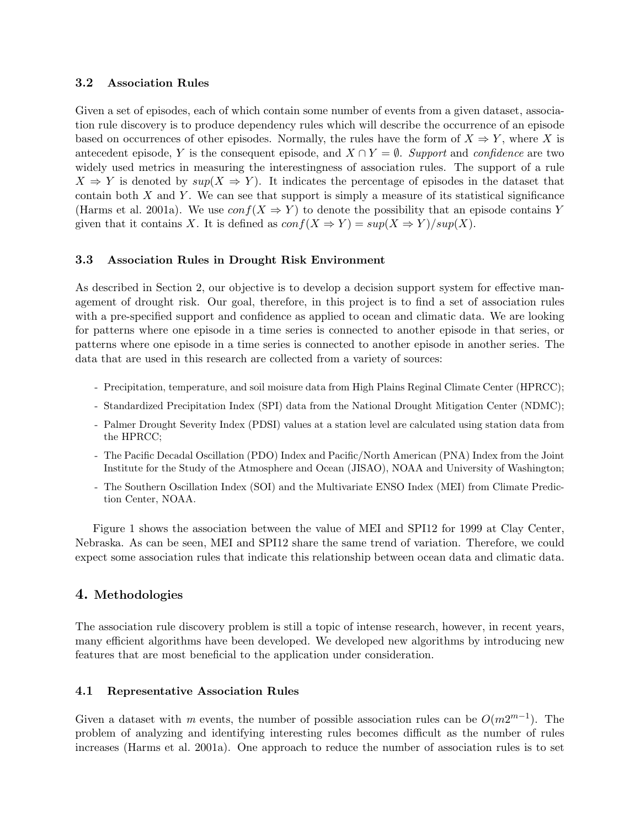## 3.2 Association Rules

Given a set of episodes, each of which contain some number of events from a given dataset, association rule discovery is to produce dependency rules which will describe the occurrence of an episode based on occurrences of other episodes. Normally, the rules have the form of  $X \Rightarrow Y$ , where X is antecedent episode, Y is the consequent episode, and  $X \cap Y = \emptyset$ . Support and confidence are two widely used metrics in measuring the interestingness of association rules. The support of a rule  $X \Rightarrow Y$  is denoted by  $sup(X \Rightarrow Y)$ . It indicates the percentage of episodes in the dataset that contain both  $X$  and  $Y$ . We can see that support is simply a measure of its statistical significance (Harms et al. 2001a). We use  $conf(X \Rightarrow Y)$  to denote the possibility that an episode contains Y given that it contains X. It is defined as  $conf(X \Rightarrow Y) = sup(X \Rightarrow Y)/sup(X)$ .

## 3.3 Association Rules in Drought Risk Environment

As described in Section 2, our objective is to develop a decision support system for effective management of drought risk. Our goal, therefore, in this project is to find a set of association rules with a pre-specified support and confidence as applied to ocean and climatic data. We are looking for patterns where one episode in a time series is connected to another episode in that series, or patterns where one episode in a time series is connected to another episode in another series. The data that are used in this research are collected from a variety of sources:

- Precipitation, temperature, and soil moisure data from High Plains Reginal Climate Center (HPRCC);
- Standardized Precipitation Index (SPI) data from the National Drought Mitigation Center (NDMC);
- Palmer Drought Severity Index (PDSI) values at a station level are calculated using station data from the HPRCC;
- The Pacific Decadal Oscillation (PDO) Index and Pacific/North American (PNA) Index from the Joint Institute for the Study of the Atmosphere and Ocean (JISAO), NOAA and University of Washington;
- The Southern Oscillation Index (SOI) and the Multivariate ENSO Index (MEI) from Climate Prediction Center, NOAA.

Figure 1 shows the association between the value of MEI and SPI12 for 1999 at Clay Center, Nebraska. As can be seen, MEI and SPI12 share the same trend of variation. Therefore, we could expect some association rules that indicate this relationship between ocean data and climatic data.

## 4. Methodologies

The association rule discovery problem is still a topic of intense research, however, in recent years, many efficient algorithms have been developed. We developed new algorithms by introducing new features that are most beneficial to the application under consideration.

## 4.1 Representative Association Rules

Given a dataset with m events, the number of possible association rules can be  $O(m2^{m-1})$ . The problem of analyzing and identifying interesting rules becomes difficult as the number of rules increases (Harms et al. 2001a). One approach to reduce the number of association rules is to set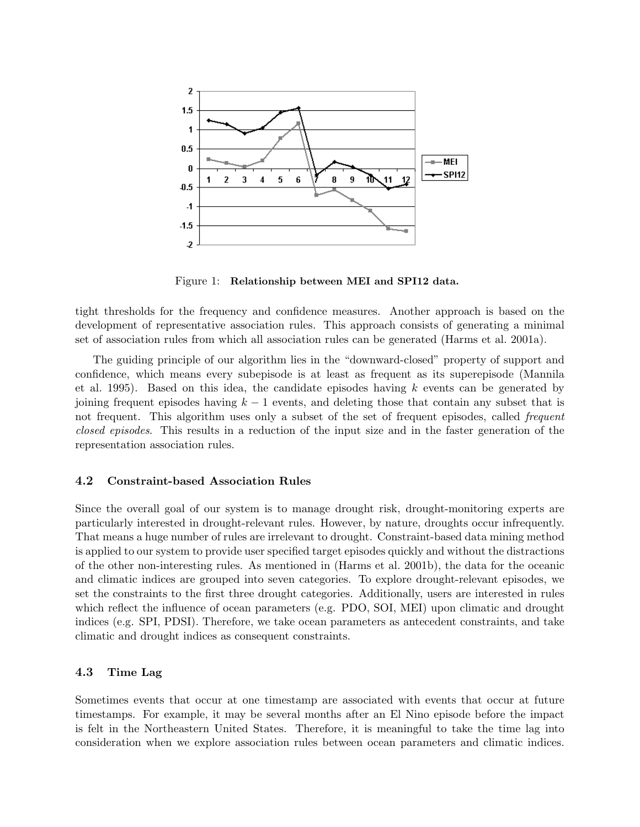

Figure 1: Relationship between MEI and SPI12 data.

tight thresholds for the frequency and confidence measures. Another approach is based on the development of representative association rules. This approach consists of generating a minimal set of association rules from which all association rules can be generated (Harms et al. 2001a).

The guiding principle of our algorithm lies in the "downward-closed" property of support and confidence, which means every subepisode is at least as frequent as its superepisode (Mannila et al. 1995). Based on this idea, the candidate episodes having  $k$  events can be generated by joining frequent episodes having  $k - 1$  events, and deleting those that contain any subset that is not frequent. This algorithm uses only a subset of the set of frequent episodes, called *frequent* closed episodes. This results in a reduction of the input size and in the faster generation of the representation association rules.

### 4.2 Constraint-based Association Rules

Since the overall goal of our system is to manage drought risk, drought-monitoring experts are particularly interested in drought-relevant rules. However, by nature, droughts occur infrequently. That means a huge number of rules are irrelevant to drought. Constraint-based data mining method is applied to our system to provide user specified target episodes quickly and without the distractions of the other non-interesting rules. As mentioned in (Harms et al. 2001b), the data for the oceanic and climatic indices are grouped into seven categories. To explore drought-relevant episodes, we set the constraints to the first three drought categories. Additionally, users are interested in rules which reflect the influence of ocean parameters (e.g. PDO, SOI, MEI) upon climatic and drought indices (e.g. SPI, PDSI). Therefore, we take ocean parameters as antecedent constraints, and take climatic and drought indices as consequent constraints.

### 4.3 Time Lag

Sometimes events that occur at one timestamp are associated with events that occur at future timestamps. For example, it may be several months after an El Nino episode before the impact is felt in the Northeastern United States. Therefore, it is meaningful to take the time lag into consideration when we explore association rules between ocean parameters and climatic indices.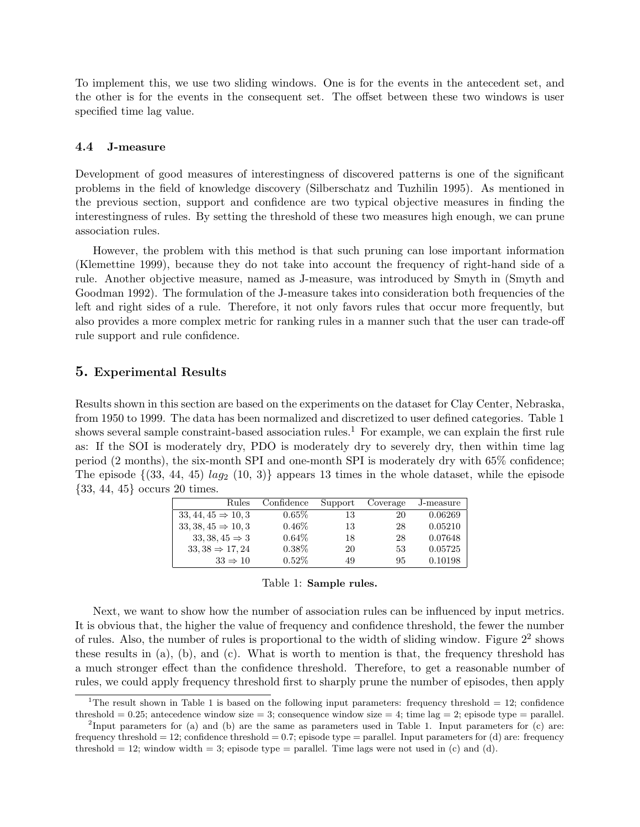To implement this, we use two sliding windows. One is for the events in the antecedent set, and the other is for the events in the consequent set. The offset between these two windows is user specified time lag value.

#### 4.4 J-measure

Development of good measures of interestingness of discovered patterns is one of the significant problems in the field of knowledge discovery (Silberschatz and Tuzhilin 1995). As mentioned in the previous section, support and confidence are two typical objective measures in finding the interestingness of rules. By setting the threshold of these two measures high enough, we can prune association rules.

However, the problem with this method is that such pruning can lose important information (Klemettine 1999), because they do not take into account the frequency of right-hand side of a rule. Another objective measure, named as J-measure, was introduced by Smyth in (Smyth and Goodman 1992). The formulation of the J-measure takes into consideration both frequencies of the left and right sides of a rule. Therefore, it not only favors rules that occur more frequently, but also provides a more complex metric for ranking rules in a manner such that the user can trade-off rule support and rule confidence.

## 5. Experimental Results

Results shown in this section are based on the experiments on the dataset for Clay Center, Nebraska, from 1950 to 1999. The data has been normalized and discretized to user defined categories. Table 1 shows several sample constraint-based association rules.<sup>1</sup> For example, we can explain the first rule as: If the SOI is moderately dry, PDO is moderately dry to severely dry, then within time lag period (2 months), the six-month SPI and one-month SPI is moderately dry with 65% confidence; The episode  $\{(33, 44, 45) \tag{10, 3}\}$  appears 13 times in the whole dataset, while the episode {33, 44, 45} occurs 20 times.

| Rules                          | Confidence | Support | Coverage | J-measure |
|--------------------------------|------------|---------|----------|-----------|
| $33, 44, 45 \Rightarrow 10, 3$ | $0.65\%$   | 13      | 20       | 0.06269   |
| $33,38,45 \Rightarrow 10,3$    | $0.46\%$   | 13      | 28       | 0.05210   |
| $33, 38, 45 \Rightarrow 3$     | $0.64\%$   | 18      | 28       | 0.07648   |
| $33,38 \Rightarrow 17,24$      | $0.38\%$   | 20      | 53       | 0.05725   |
| $33 \Rightarrow 10$            | $0.52\%$   | 49      | 95       | 0.10198   |

Next, we want to show how the number of association rules can be influenced by input metrics. It is obvious that, the higher the value of frequency and confidence threshold, the fewer the number of rules. Also, the number of rules is proportional to the width of sliding window. Figure  $2<sup>2</sup>$  shows these results in (a), (b), and (c). What is worth to mention is that, the frequency threshold has a much stronger effect than the confidence threshold. Therefore, to get a reasonable number of rules, we could apply frequency threshold first to sharply prune the number of episodes, then apply

<sup>&</sup>lt;sup>1</sup>The result shown in Table 1 is based on the following input parameters: frequency threshold = 12; confidence threshold = 0.25; antecedence window size = 3; consequence window size = 4; time lag = 2; episode type = parallel.

<sup>&</sup>lt;sup>2</sup>Input parameters for (a) and (b) are the same as parameters used in Table 1. Input parameters for (c) are: frequency threshold  $= 12$ ; confidence threshold  $= 0.7$ ; episode type  $=$  parallel. Input parameters for (d) are: frequency threshold  $= 12$ ; window width  $= 3$ ; episode type  $=$  parallel. Time lags were not used in (c) and (d).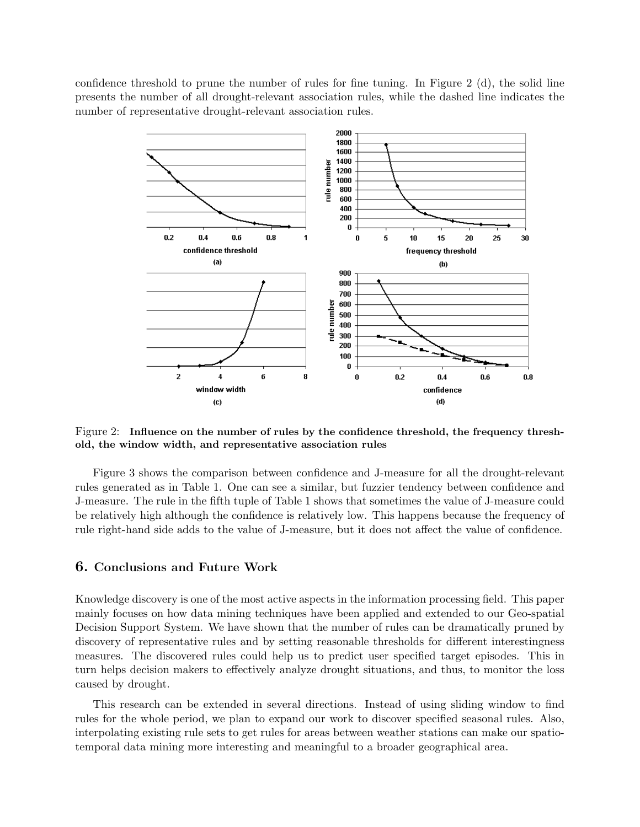confidence threshold to prune the number of rules for fine tuning. In Figure 2 (d), the solid line presents the number of all drought-relevant association rules, while the dashed line indicates the number of representative drought-relevant association rules.



Figure 2: Influence on the number of rules by the confidence threshold, the frequency threshold, the window width, and representative association rules

Figure 3 shows the comparison between confidence and J-measure for all the drought-relevant rules generated as in Table 1. One can see a similar, but fuzzier tendency between confidence and J-measure. The rule in the fifth tuple of Table 1 shows that sometimes the value of J-measure could be relatively high although the confidence is relatively low. This happens because the frequency of rule right-hand side adds to the value of J-measure, but it does not affect the value of confidence.

### 6. Conclusions and Future Work

Knowledge discovery is one of the most active aspects in the information processing field. This paper mainly focuses on how data mining techniques have been applied and extended to our Geo-spatial Decision Support System. We have shown that the number of rules can be dramatically pruned by discovery of representative rules and by setting reasonable thresholds for different interestingness measures. The discovered rules could help us to predict user specified target episodes. This in turn helps decision makers to effectively analyze drought situations, and thus, to monitor the loss caused by drought.

This research can be extended in several directions. Instead of using sliding window to find rules for the whole period, we plan to expand our work to discover specified seasonal rules. Also, interpolating existing rule sets to get rules for areas between weather stations can make our spatiotemporal data mining more interesting and meaningful to a broader geographical area.